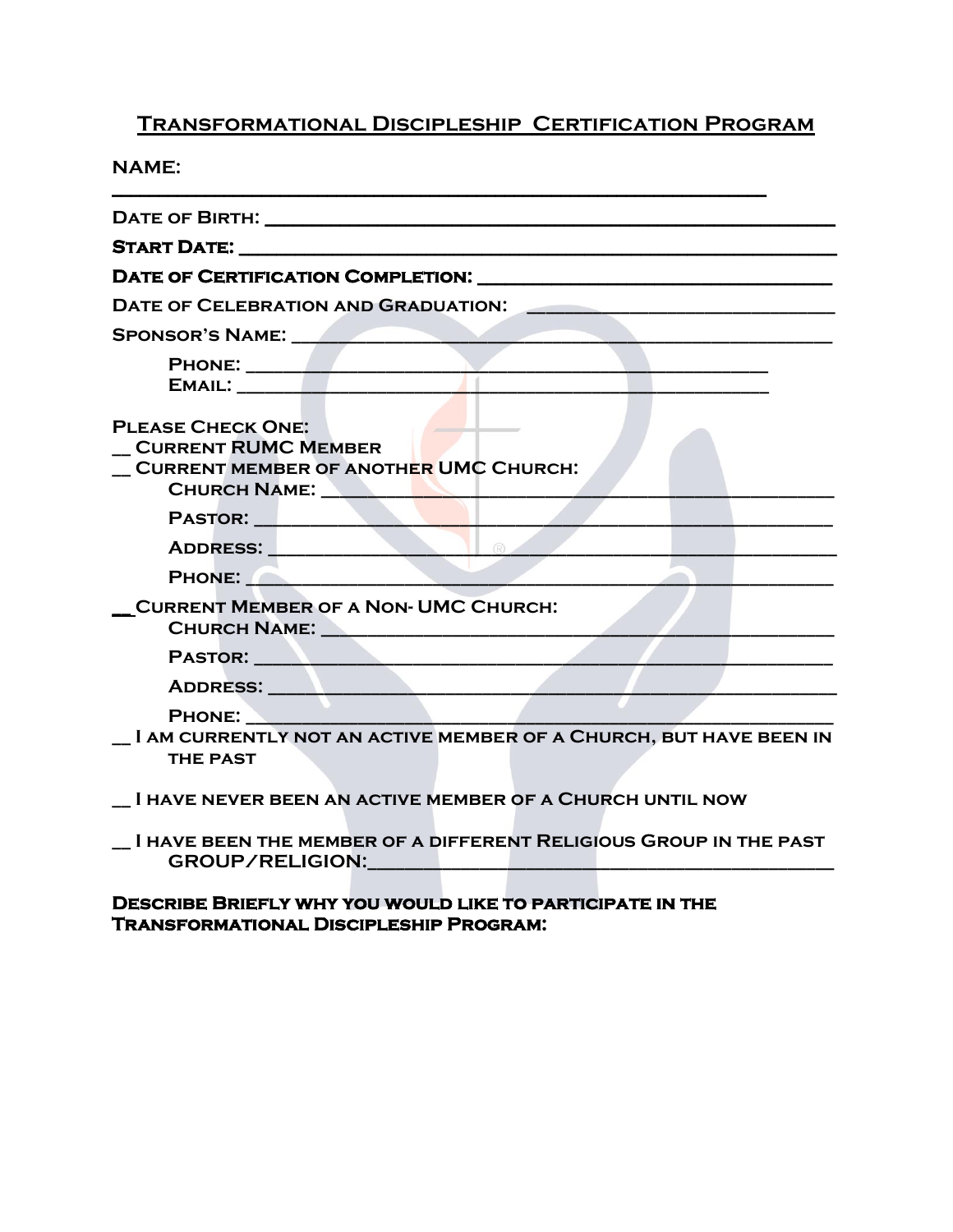## **Transformational Discipleship Certification Program**

**NAME:**  $\mathcal{L}_\mathcal{L} = \{ \mathcal{L}_\mathcal{L} = \{ \mathcal{L}_\mathcal{L} = \{ \mathcal{L}_\mathcal{L} = \{ \mathcal{L}_\mathcal{L} = \{ \mathcal{L}_\mathcal{L} = \{ \mathcal{L}_\mathcal{L} = \{ \mathcal{L}_\mathcal{L} = \{ \mathcal{L}_\mathcal{L} = \{ \mathcal{L}_\mathcal{L} = \{ \mathcal{L}_\mathcal{L} = \{ \mathcal{L}_\mathcal{L} = \{ \mathcal{L}_\mathcal{L} = \{ \mathcal{L}_\mathcal{L} = \{ \mathcal{L}_\mathcal{$ 

| DATE OF BIRTH: NATIONAL PROPERTY AND THE STATE OF BIRTH:                                                                                                                                                                       |
|--------------------------------------------------------------------------------------------------------------------------------------------------------------------------------------------------------------------------------|
|                                                                                                                                                                                                                                |
|                                                                                                                                                                                                                                |
| DATE OF CELEBRATION AND GRADUATION: NAMEL AND RESERVE TO A STATE OF STATE OF STATES OF STATES OF STATES OF STATES OF STATES OF STATES OF STATES OF STATES OF STATES OF STATES OF STATES OF STATES OF STATES OF STATES OF STATE |
| <b>SPONSOR'S NAME:</b>                                                                                                                                                                                                         |
| EMAIL: The contract of the contract of the contract of the contract of the contract of the contract of the contract of the contract of the contract of the contract of the contract of the contract of the contract of the con |
| <b>PLEASE CHECK ONE:</b><br><b>CURRENT RUMC MEMBER</b><br><b>CURRENT MEMBER OF ANOTHER UMC CHURCH:</b><br>CHURCH NAME:                                                                                                         |
| PASTOR: New York PASTOR:                                                                                                                                                                                                       |
|                                                                                                                                                                                                                                |
| PHONE: New York PHONE                                                                                                                                                                                                          |
| <b>CURRENT MEMBER OF A NON- UMC CHURCH:</b>                                                                                                                                                                                    |
|                                                                                                                                                                                                                                |
| ADDRESS: AND AND ADDRESS:                                                                                                                                                                                                      |
| <b>PHONE:</b><br><u> 1960 - Johann Barnett, fransk politik (</u>                                                                                                                                                               |
| I AM CURRENTLY NOT AN ACTIVE MEMBER OF A CHURCH, BUT HAVE BEEN IN<br><b>THE PAST</b>                                                                                                                                           |
| I HAVE NEVER BEEN AN ACTIVE MEMBER OF A CHURCH UNTIL NOW                                                                                                                                                                       |

**\_\_ I have been the member of a different Religious Group in the past** GROUP/RELIGION:\_\_\_\_\_\_\_\_\_

**Describe Briefly why you would like to participate in the Transformational Discipleship Program:**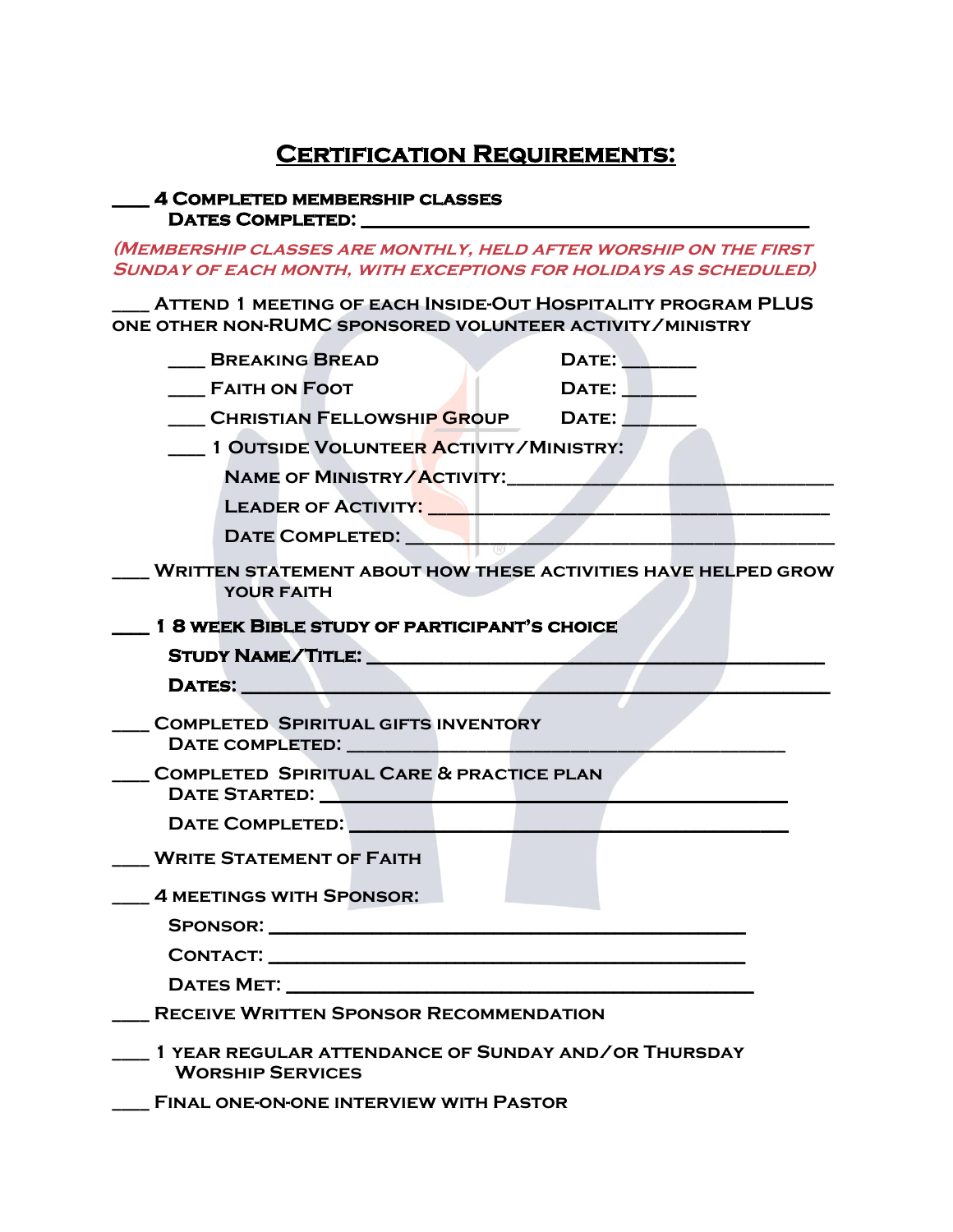## **Certification Requirements:**

## **\_\_\_\_ 4 Completed membership classes Dates Completed: \_\_\_\_\_\_\_\_\_\_\_\_\_\_\_\_\_\_\_\_\_\_\_\_\_\_\_\_\_\_\_\_\_\_\_\_\_\_\_\_\_\_\_\_\_\_\_\_**

**(Membership classes are monthly, held after worship on the first Sunday of each month, with exceptions for holidays as scheduled)**

**\_\_\_\_ Attend 1 meeting of each Inside-Out Hospitality program PLUS one other non-RUMC sponsored volunteer activity/ministry**

| <b>BREAKING BREAD</b>                                                                                                                                                                                                          | DATE: NOTE:    |
|--------------------------------------------------------------------------------------------------------------------------------------------------------------------------------------------------------------------------------|----------------|
| <b>FAITH ON FOOT</b>                                                                                                                                                                                                           | DATE: No. 1994 |
| CHRISTIAN FELLOWSHIP GROUP DATE:                                                                                                                                                                                               |                |
| 1 OUTSIDE VOLUNTEER ACTIVITY/MINISTRY:                                                                                                                                                                                         |                |
| NAME OF MINISTRY/ACTIVITY:                                                                                                                                                                                                     |                |
| LEADER OF ACTIVITY: Network of ACTIVITY:                                                                                                                                                                                       |                |
| DATE COMPLETED:                                                                                                                                                                                                                |                |
| <b>WRITTEN STATEMENT ABOUT HOW THESE ACTIVITIES HAVE HELPED GROW</b><br><b>YOUR FAITH</b>                                                                                                                                      |                |
| 1 8 WEEK BIBLE STUDY OF PARTICIPANT'S CHOICE                                                                                                                                                                                   |                |
| STUDY NAME/TITLE: STUDY NAME/TITLE:                                                                                                                                                                                            |                |
| DATES: New York Street, New York Street, New York Street, New York Street, New York Street, New York Street, N                                                                                                                 |                |
| <b>COMPLETED SPIRITUAL GIFTS INVENTORY</b>                                                                                                                                                                                     |                |
|                                                                                                                                                                                                                                |                |
| <b>COMPLETED SPIRITUAL CARE &amp; PRACTICE PLAN</b>                                                                                                                                                                            |                |
| DATE STARTED: NATIONAL PROPERTY AND THE STARTED:                                                                                                                                                                               |                |
| DATE COMPLETED: NATE ON THE STATE OF THE STATE OF THE STATE OF THE STATE OF THE STATE OF THE STATE OF THE STATE OF THE STATE OF THE STATE OF THE STATE OF THE STATE OF THE STATE OF THE STATE OF THE STATE OF THE STATE OF THE |                |
| <b>WRITE STATEMENT OF FAITH</b>                                                                                                                                                                                                |                |
| <b>4 MEETINGS WITH SPONSOR:</b>                                                                                                                                                                                                |                |
|                                                                                                                                                                                                                                |                |
|                                                                                                                                                                                                                                |                |
| CONTACT: University of the CONTACT:                                                                                                                                                                                            |                |
|                                                                                                                                                                                                                                |                |
| <b>RECEIVE WRITTEN SPONSOR RECOMMENDATION</b>                                                                                                                                                                                  |                |
| 1 YEAR REGULAR ATTENDANCE OF SUNDAY AND/OR THURSDAY<br><b>WORSHIP SERVICES</b>                                                                                                                                                 |                |
| <b>FINAL ONE-ON-ONE INTERVIEW WITH PASTOR</b>                                                                                                                                                                                  |                |